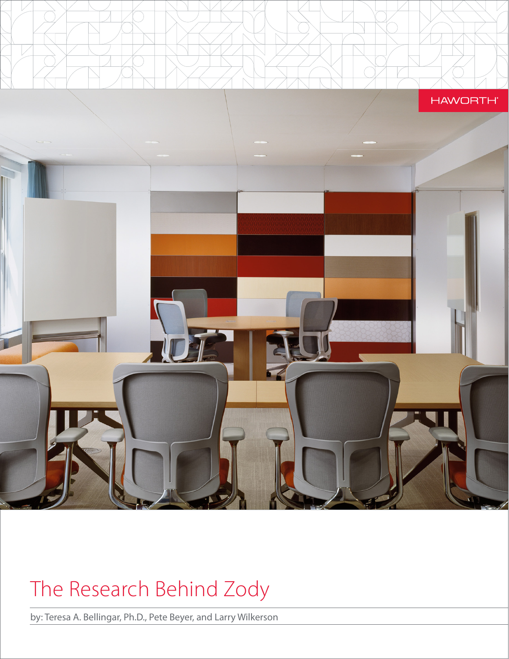

# The Research Behind Zody

by: Teresa A. Bellingar, Ph.D., Pete Beyer, and Larry Wilkerson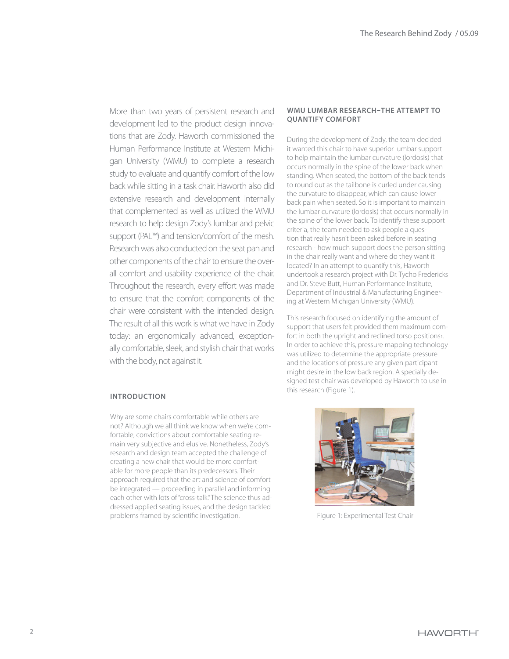More than two years of persistent research and development led to the product design innovations that are Zody. Haworth commissioned the Human Performance Institute at Western Michigan University (WMU) to complete a research study to evaluate and quantify comfort of the low back while sitting in a task chair. Haworth also did extensive research and development internally that complemented as well as utilized the WMU research to help design Zody's lumbar and pelvic support (PAL™) and tension/comfort of the mesh. Research was also conducted on the seat pan and other components of the chair to ensure the overall comfort and usability experience of the chair. Throughout the research, every effort was made to ensure that the comfort components of the chair were consistent with the intended design. The result of all this work is what we have in Zody today: an ergonomically advanced, exceptionally comfortable, sleek, and stylish chair that works with the body, not against it.

#### **WMU LUMBAR RESEARCH–THE ATTEMPT TO QUANTIFY COMFORT**

During the development of Zody, the team decided it wanted this chair to have superior lumbar support to help maintain the lumbar curvature (lordosis) that occurs normally in the spine of the lower back when standing. When seated, the bottom of the back tends to round out as the tailbone is curled under causing the curvature to disappear, which can cause lower back pain when seated. So it is important to maintain the lumbar curvature (lordosis) that occurs normally in the spine of the lower back. To identify these support criteria, the team needed to ask people a question that really hasn't been asked before in seating research - how much support does the person sitting in the chair really want and where do they want it located? In an attempt to quantify this, Haworth undertook a research project with Dr. Tycho Fredericks and Dr. Steve Butt, Human Performance Institute, Department of Industrial & Manufacturing Engineering at Western Michigan University (WMU).

This research focused on identifying the amount of support that users felt provided them maximum comfort in both the upright and reclined torso positions1. In order to achieve this, pressure mapping technology was utilized to determine the appropriate pressure and the locations of pressure any given participant might desire in the low back region. A specially designed test chair was developed by Haworth to use in this research (Figure 1).

### **INTRODUCTION**

Why are some chairs comfortable while others are not? Although we all think we know when we're comfortable, convictions about comfortable seating remain very subjective and elusive. Nonetheless, Zody's research and design team accepted the challenge of creating a new chair that would be more comfortable for more people than its predecessors. Their approach required that the art and science of comfort be integrated — proceeding in parallel and informing each other with lots of "cross-talk." The science thus addressed applied seating issues, and the design tackled problems framed by scientific investigation.



Figure 1: Experimental Test Chair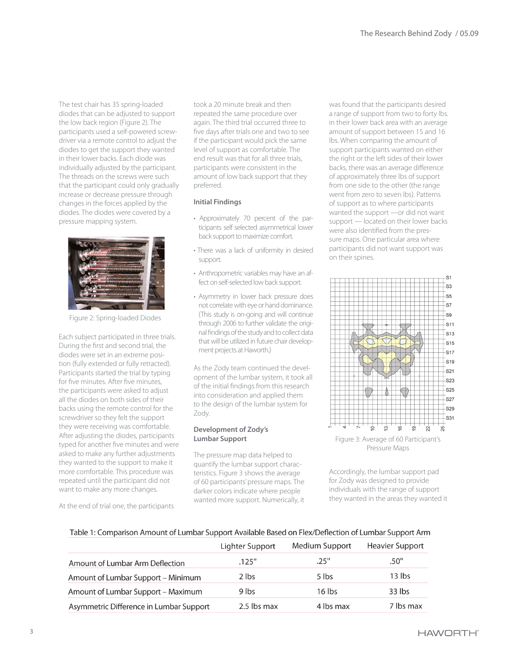The test chair has 35 spring-loaded diodes that can be adjusted to support the low back region (Figure 2). The participants used a self-powered screwdriver via a remote control to adjust the diodes to get the support they wanted in their lower backs. Each diode was individually adjusted by the participant. The threads on the screws were such that the participant could only gradually increase or decrease pressure through changes in the forces applied by the diodes. The diodes were covered by a pressure mapping system.



Figure 2: Spring-loaded Diodes

Each subject participated in three trials. During the first and second trial, the diodes were set in an extreme position (fully extended or fully retracted). Participants started the trial by typing for five minutes. After five minutes, the participants were asked to adjust all the diodes on both sides of their backs using the remote control for the screwdriver so they felt the support they were receiving was comfortable. After adjusting the diodes, participants typed for another five minutes and were asked to make any further adjustments they wanted to the support to make it more comfortable. This procedure was repeated until the participant did not want to make any more changes.

took a 20 minute break and then repeated the same procedure over again. The third trial occurred three to five days after trials one and two to see if the participant would pick the same level of support as comfortable. The end result was that for all three trials, participants were consistent in the amount of low back support that they preferred.

#### **Initial Findings**

- Approximately 70 percent of the participants self selected asymmetrical lower back support to maximize comfort.
- There was a lack of uniformity in desired support.
- Anthropometric variables may have an affect on self-selected low back support.
- Asymmetry in lower back pressure does not correlate with eye or hand dominance. (This study is on-going and will continue through 2006 to further validate the original findings of the study and to collect data that will be utilized in future chair development projects at Haworth.)

As the Zody team continued the development of the lumbar system, it took all of the initial findings from this research into consideration and applied them to the design of the lumbar system for Zody.

#### **Development of Zody's Lumbar Support**

The pressure map data helped to quantify the lumbar support characteristics. Figure 3 shows the average of 60 participants' pressure maps. The darker colors indicate where people wanted more support. Numerically, it was found that the participants desired a range of support from two to forty lbs. in their lower back area with an average amount of support between 15 and 16 lbs. When comparing the amount of support participants wanted on either the right or the left sides of their lower backs, there was an average difference of approximately three lbs of support from one side to the other (the range went from zero to seven lbs). Patterns of support as to where participants wanted the support —or did not want support — located on their lower backs were also identified from the pressure maps. One particular area where participants did not want support was on their spines.



Pressure Maps

Accordingly, the lumbar support pad for Zody was designed to provide individuals with the range of support they wanted in the areas they wanted it

At the end of trial one, the participants

#### Table 1: Comparison Amount of Lumbar Support Available Based on Flex/Deflection of Lumbar Support Arm

|                                         | Lighter Support | Medium Support | <b>Heavier Support</b> |
|-----------------------------------------|-----------------|----------------|------------------------|
| Amount of Lumbar Arm Deflection         | .125"           | .25"           | .50"                   |
| Amount of Lumbar Support - Minimum      | 2 lbs           | 5 lbs          | $13$ lbs               |
| Amount of Lumbar Support - Maximum      | 9 lbs           | $16$ lbs       | 33 lbs                 |
| Asymmetric Difference in Lumbar Support | 2.5 lbs max     | 4 lbs max      | 7 lbs max              |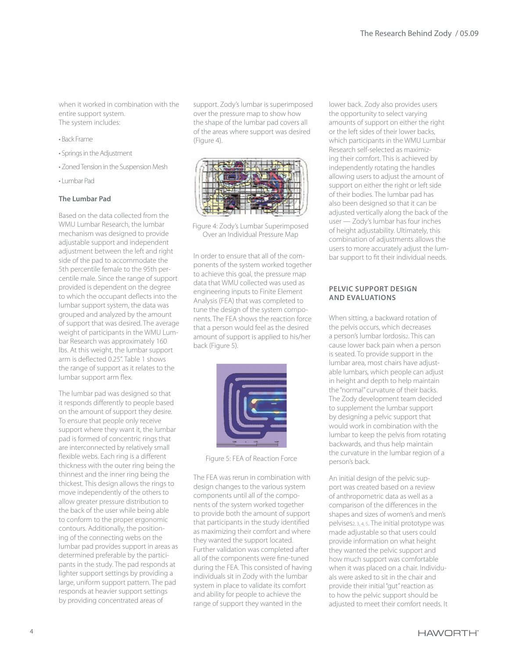when it worked in combination with the entire support system. The system includes:

- Back Frame
- Springs in the Adjustment
- Zoned Tension in the Suspension Mesh
- Lumbar Pad

# **The Lumbar Pad**

Based on the data collected from the WMU Lumbar Research, the lumbar mechanism was designed to provide adjustable support and independent adjustment between the left and right side of the pad to accommodate the 5th percentile female to the 95th percentile male. Since the range of support provided is dependent on the degree to which the occupant deflects into the lumbar support system, the data was grouped and analyzed by the amount of support that was desired. The average weight of participants in the WMU Lumbar Research was approximately 160 lbs. At this weight, the lumbar support arm is deflected 0.25''. Table 1 shows the range of support as it relates to the lumbar support arm flex.

The lumbar pad was designed so that it responds differently to people based on the amount of support they desire. To ensure that people only receive support where they want it, the lumbar pad is formed of concentric rings that are interconnected by relatively small flexible webs. Each ring is a different thickness with the outer ring being the thinnest and the inner ring being the thickest. This design allows the rings to move independently of the others to allow greater pressure distribution to the back of the user while being able to conform to the proper ergonomic contours. Additionally, the positioning of the connecting webs on the lumbar pad provides support in areas as determined preferable by the participants in the study. The pad responds at lighter support settings by providing a large, uniform support pattern. The pad responds at heavier support settings by providing concentrated areas of

support. Zody's lumbar is superimposed over the pressure map to show how the shape of the lumbar pad covers all of the areas where support was desired (Figure 4).



Figure 4: Zody's Lumbar Superimposed Over an Individual Pressure Map

In order to ensure that all of the components of the system worked together to achieve this goal, the pressure map data that WMU collected was used as engineering inputs to Finite Element Analysis (FEA) that was completed to tune the design of the system components. The FEA shows the reaction force that a person would feel as the desired amount of support is applied to his/her back (Figure 5).



Figure 5: FEA of Reaction Force

The FEA was rerun in combination with design changes to the various system components until all of the components of the system worked together to provide both the amount of support that participants in the study identified as maximizing their comfort and where they wanted the support located. Further validation was completed after all of the components were fine-tuned during the FEA. This consisted of having individuals sit in Zody with the lumbar system in place to validate its comfort and ability for people to achieve the range of support they wanted in the

lower back. Zody also provides users the opportunity to select varying amounts of support on either the right or the left sides of their lower backs, which participants in the WMU Lumbar Research self-selected as maximizing their comfort. This is achieved by independently rotating the handles allowing users to adjust the amount of support on either the right or left side of their bodies. The lumbar pad has also been designed so that it can be adjusted vertically along the back of the user — Zody's lumbar has four inches of height adjustability. Ultimately, this combination of adjustments allows the users to more accurately adjust the lumbar support to fit their individual needs.

#### **PELVIC SUPPORT DESIGN AND EVALUATIONS**

When sitting, a backward rotation of the pelvis occurs, which decreases a person's lumbar lordosis<sub>2</sub>. This can cause lower back pain when a person is seated. To provide support in the lumbar area, most chairs have adjustable lumbars, which people can adjust in height and depth to help maintain the "normal" curvature of their backs. The Zody development team decided to supplement the lumbar support by designing a pelvic support that would work in combination with the lumbar to keep the pelvis from rotating backwards, and thus help maintain the curvature in the lumbar region of a person's back.

An initial design of the pelvic support was created based on a review of anthropometric data as well as a comparison of the differences in the shapes and sizes of women's and men's pelvises2, 3, 4, 5. The initial prototype was made adjustable so that users could provide information on what height they wanted the pelvic support and how much support was comfortable when it was placed on a chair. Individuals were asked to sit in the chair and provide their initial "gut" reaction as to how the pelvic support should be adjusted to meet their comfort needs. It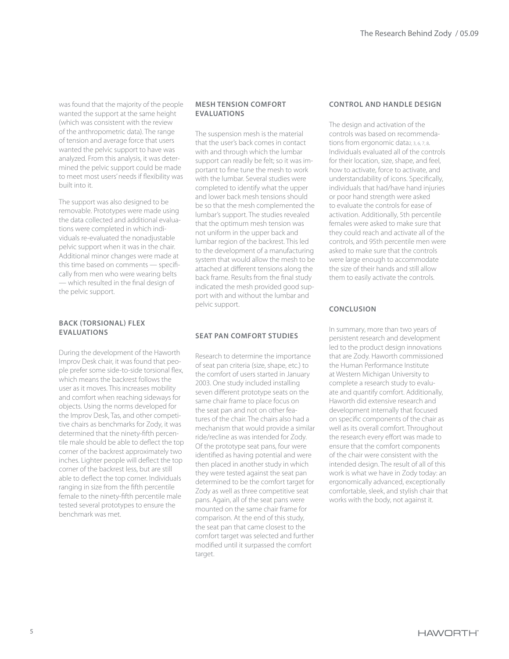was found that the majority of the people wanted the support at the same height (which was consistent with the review of the anthropometric data). The range of tension and average force that users wanted the pelvic support to have was analyzed. From this analysis, it was determined the pelvic support could be made to meet most users' needs if flexibility was built into it.

The support was also designed to be removable. Prototypes were made using the data collected and additional evaluations were completed in which individuals re-evaluated the nonadjustable pelvic support when it was in the chair. Additional minor changes were made at this time based on comments — specifically from men who were wearing belts — which resulted in the final design of the pelvic support.

#### **BACK (TORSIONAL) FLEX EVALUATIONS**

During the development of the Haworth Improv Desk chair, it was found that people prefer some side-to-side torsional flex, which means the backrest follows the user as it moves. This increases mobility and comfort when reaching sideways for objects. Using the norms developed for the Improv Desk, Tas, and other competitive chairs as benchmarks for Zody, it was determined that the ninety-fifth percentile male should be able to deflect the top corner of the backrest approximately two inches. Lighter people will deflect the top corner of the backrest less, but are still able to deflect the top corner. Individuals ranging in size from the fifth percentile female to the ninety-fifth percentile male tested several prototypes to ensure the benchmark was met.

#### **MESH TENSION COMFORT EVALUATIONS**

The suspension mesh is the material that the user's back comes in contact with and through which the lumbar support can readily be felt; so it was important to fine tune the mesh to work with the lumbar. Several studies were completed to identify what the upper and lower back mesh tensions should be so that the mesh complemented the lumbar's support. The studies revealed that the optimum mesh tension was not uniform in the upper back and lumbar region of the backrest. This led to the development of a manufacturing system that would allow the mesh to be attached at different tensions along the back frame. Results from the final study indicated the mesh provided good support with and without the lumbar and pelvic support.

# **SEAT PAN COMFORT STUDIES**

Research to determine the importance of seat pan criteria (size, shape, etc.) to the comfort of users started in January 2003. One study included installing seven different prototype seats on the same chair frame to place focus on the seat pan and not on other features of the chair. The chairs also had a mechanism that would provide a similar ride/recline as was intended for Zody. Of the prototype seat pans, four were identified as having potential and were then placed in another study in which they were tested against the seat pan determined to be the comfort target for Zody as well as three competitive seat pans. Again, all of the seat pans were mounted on the same chair frame for comparison. At the end of this study, the seat pan that came closest to the comfort target was selected and further modified until it surpassed the comfort target.

## **CONTROL AND HANDLE DESIGN**

The design and activation of the controls was based on recommendations from ergonomic data2, 3, 6, 7, 8. Individuals evaluated all of the controls for their location, size, shape, and feel, how to activate, force to activate, and understandability of icons. Specifically, individuals that had/have hand injuries or poor hand strength were asked to evaluate the controls for ease of activation. Additionally, 5th percentile females were asked to make sure that they could reach and activate all of the controls, and 95th percentile men were asked to make sure that the controls were large enough to accommodate the size of their hands and still allow them to easily activate the controls.

#### **CONCLUSION**

In summary, more than two years of persistent research and development led to the product design innovations that are Zody. Haworth commissioned the Human Performance Institute at Western Michigan University to complete a research study to evaluate and quantify comfort. Additionally, Haworth did extensive research and development internally that focused on specific components of the chair as well as its overall comfort. Throughout the research every effort was made to ensure that the comfort components of the chair were consistent with the intended design. The result of all of this work is what we have in Zody today: an ergonomically advanced, exceptionally comfortable, sleek, and stylish chair that works with the body, not against it.